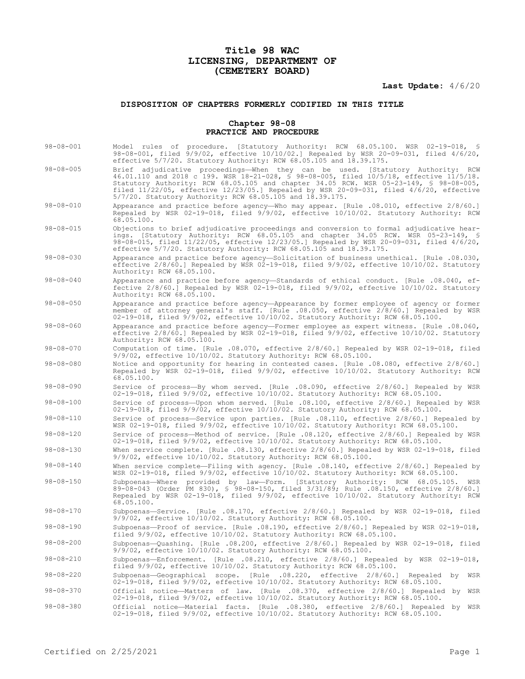# **Title 98 WAC LICENSING, DEPARTMENT OF (CEMETERY BOARD)**

**Last Update:** 4/6/20

# **DISPOSITION OF CHAPTERS FORMERLY CODIFIED IN THIS TITLE**

## **Chapter 98-08 PRACTICE AND PROCEDURE**

| $98 - 08 - 001$ | Model rules of procedure. [Statutory Authority: RCW 68.05.100. WSR 02-19-018, §<br>98-08-001, filed 9/9/02, effective 10/10/02.] Repealed by WSR 20-09-031, filed 4/6/20,<br>effective 5/7/20. Statutory Authority: RCW 68.05.105 and 18.39.175.                                                                                                                                                                                     |
|-----------------|--------------------------------------------------------------------------------------------------------------------------------------------------------------------------------------------------------------------------------------------------------------------------------------------------------------------------------------------------------------------------------------------------------------------------------------|
| $98 - 08 - 005$ | Brief adjudicative proceedings—When they can be used. [Statutory Authority: RCW<br>46.01.110 and 2018 c 199. WSR 18-21-028, § 98-08-005, filed 10/5/18, effective 11/5/18.<br>Statutory Authority: RCW 68.05.105 and chapter 34.05 RCW. WSR 05-23-149, \$ 98-08-005,<br>filed $11/22/05$ , effective $12/23/05$ . Repealed by WSR 20-09-031, filed $4/6/20$ , effective<br>5/7/20. Statutory Authority: RCW 68.05.105 and 18.39.175. |
| $98 - 08 - 010$ | Appearance and practice before agency—Who may appear. [Rule .08.010, effective 2/8/60.]<br>Repealed by WSR 02-19-018, filed 9/9/02, effective 10/10/02. Statutory Authority: RCW<br>68.05.100.                                                                                                                                                                                                                                       |
| $98 - 08 - 015$ | Objections to brief adjudicative proceedings and conversion to formal adjudicative hear-<br>ings. [Statutory Authority: RCW 68.05.105 and chapter 34.05 RCW. WSR 05-23-149, §<br>98-08-015, filed $11/22/05$ , effective $12/23/05$ . Repealed by WSR 20-09-031, filed $4/6/20$ ,<br>effective $5/7/20$ . Statutory Authority: RCW $68.05.105$ and $18.39.175$ .                                                                     |
| $98 - 08 - 030$ | Appearance and practice before agency-Solicitation of business unethical. [Rule .08.030,<br>effective 2/8/60.] Repealed by WSR 02-19-018, filed 9/9/02, effective 10/10/02. Statutory<br>Authority: RCW 68.05.100.                                                                                                                                                                                                                   |
| $98 - 08 - 040$ | Appearance and practice before agency-Standards of ethical conduct. [Rule .08.040, ef-<br>fective 2/8/60.] Repealed by WSR 02-19-018, filed 9/9/02, effective 10/10/02. Statutory<br>Authority: RCW 68.05.100.                                                                                                                                                                                                                       |
| $98 - 08 - 050$ | Appearance and practice before agency-Appearance by former employee of agency or former<br>member of attorney general's staff. [Rule .08.050, effective 2/8/60.] Repealed by WSR<br>02-19-018, filed 9/9/02, effective 10/10/02. Statutory Authority: RCW 68.05.100.                                                                                                                                                                 |
| $98 - 08 - 060$ | Appearance and practice before agency—Former employee as expert witness. [Rule .08.060,<br>effective $2/8/60$ .] Repealed by WSR 02-19-018, filed $9/9/02$ , effective $10/10/02$ . Statutory<br>Authority: RCW 68.05.100.                                                                                                                                                                                                           |
| $98 - 08 - 070$ | Computation of time. [Rule .08.070, effective 2/8/60.] Repealed by WSR 02-19-018, filed<br>$9/9/02$ , effective $10/10/02$ . Statutory Authority: RCW 68.05.100.                                                                                                                                                                                                                                                                     |
| $98 - 08 - 080$ | Notice and opportunity for hearing in contested cases. [Rule .08.080, effective 2/8/60.]<br>Repealed by WSR 02-19-018, filed 9/9/02, effective 10/10/02. Statutory Authority: RCW<br>68.05.100.                                                                                                                                                                                                                                      |
| $98 - 08 - 090$ | Service of process-By whom served. [Rule .08.090, effective 2/8/60.] Repealed by WSR<br>02-19-018, filed 9/9/02, effective 10/10/02. Statutory Authority: RCW 68.05.100.                                                                                                                                                                                                                                                             |
| $98 - 08 - 100$ | Service of process-Upon whom served. [Rule .08.100, effective 2/8/60.] Repealed by WSR<br>$02-19-018$ , filed $9/9/02$ , effective $10/10/02$ . Statutory Authority: RCW 68.05.100.                                                                                                                                                                                                                                                  |
| $98 - 08 - 110$ | Service of process—Service upon parties. [Rule .08.110, effective 2/8/60.] Repealed by<br>WSR 02-19-018, filed 9/9/02, effective 10/10/02. Statutory Authority: RCW 68.05.100.                                                                                                                                                                                                                                                       |
| $98 - 08 - 120$ | Service of process—Method of service. [Rule .08.120, effective 2/8/60.] Repealed by WSR<br>02-19-018, filed 9/9/02, effective 10/10/02. Statutory Authority: RCW 68.05.100.                                                                                                                                                                                                                                                          |
| $98 - 08 - 130$ | When service complete. [Rule .08.130, effective 2/8/60.] Repealed by WSR 02-19-018, filed<br>$9/9/02$ , effective $10/10/02$ . Statutory Authority: RCW 68.05.100.                                                                                                                                                                                                                                                                   |
| $98 - 08 - 140$ | When service complete—Filing with agency. [Rule .08.140, effective 2/8/60.] Repealed by<br>WSR 02-19-018, filed 9/9/02, effective 10/10/02. Statutory Authority: RCW 68.05.100.                                                                                                                                                                                                                                                      |
| $98 - 08 - 150$ | Subpoenas—Where provided by law—Form. [Statutory Authority: RCW 68.05.105.<br>WSR<br>89-08-043 (Order PM 830), § 98-08-150, filed 3/31/89; Rule .08.150, effective 2/8/60.]<br>Repealed by WSR 02-19-018, filed 9/9/02, effective 10/10/02. Statutory Authority: RCW<br>68.05.100.                                                                                                                                                   |
| $98 - 08 - 170$ | Subpoenas-Service. [Rule .08.170, effective 2/8/60.] Repealed by WSR 02-19-018, filed<br>$9/9/02$ , effective $10/10/02$ . Statutory Authority: RCW 68.05.100.                                                                                                                                                                                                                                                                       |
| $98 - 08 - 190$ | Subpoenas—Proof of service. [Rule .08.190, effective 2/8/60.] Repealed by WSR 02-19-018,<br>filed $9/9/02$ , effective $10/10/02$ . Statutory Authority: RCW 68.05.100.                                                                                                                                                                                                                                                              |
| $98 - 08 - 200$ | Subpoenas-Quashing. [Rule .08.200, effective 2/8/60.] Repealed by WSR 02-19-018, filed<br>9/9/02, effective 10/10/02. Statutory Authority: RCW 68.05.100.                                                                                                                                                                                                                                                                            |
| $98 - 08 - 210$ | Subpoenas-Enforcement. [Rule .08.210, effective 2/8/60.] Repealed by WSR 02-19-018,<br>filed $9/9/02$ , effective $10/10/02$ . Statutory Authority: RCW 68.05.100.                                                                                                                                                                                                                                                                   |
| $98 - 08 - 220$ | Subpoenas-Geographical scope. [Rule .08.220, effective 2/8/60.] Repealed by<br>WSR<br>02-19-018, filed 9/9/02, effective 10/10/02. Statutory Authority: RCW 68.05.100.                                                                                                                                                                                                                                                               |
| $98 - 08 - 370$ | Official notice-Matters of law. [Rule .08.370, effective 2/8/60.] Repealed by WSR<br>02-19-018, filed 9/9/02, effective 10/10/02. Statutory Authority: RCW 68.05.100.                                                                                                                                                                                                                                                                |
| $98 - 08 - 380$ | Official notice-Material facts. [Rule .08.380, effective 2/8/60.] Repealed by WSR<br>02-19-018, filed 9/9/02, effective 10/10/02. Statutory Authority: RCW 68.05.100.                                                                                                                                                                                                                                                                |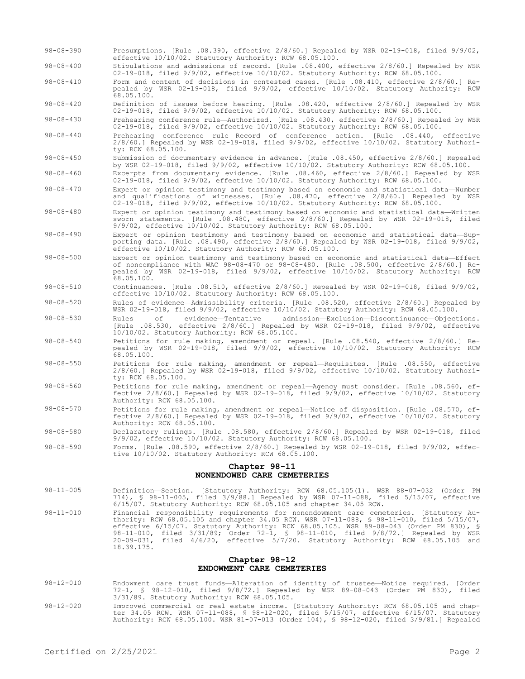- 98-08-390 Presumptions. [Rule .08.390, effective 2/8/60.] Repealed by WSR 02-19-018, filed 9/9/02, effective 10/10/02. Statutory Authority: RCW 68.05.100.
- 98-08-400 Stipulations and admissions of record. [Rule .08.400, effective 2/8/60.] Repealed by WSR 02-19-018, filed 9/9/02, effective 10/10/02. Statutory Authority: RCW 68.05.100.
- 98-08-410 Form and content of decisions in contested cases. [Rule .08.410, effective 2/8/60.] Repealed by WSR 02-19-018, filed 9/9/02, effective 10/10/02. Statutory Authority: RCW 68.05.100.

98-08-420 Definition of issues before hearing. [Rule .08.420, effective 2/8/60.] Repealed by WSR 02-19-018, filed 9/9/02, effective 10/10/02. Statutory Authority: RCW 68.05.100.

98-08-430 Prehearing conference rule—Authorized. [Rule .08.430, effective 2/8/60.] Repealed by WSR 02-19-018, filed 9/9/02, effective 10/10/02. Statutory Authority: RCW 68.05.100.

- 98-08-440 Prehearing conference rule—Record of conference action. [Rule .08.440, effective 2/8/60.] Repealed by WSR 02-19-018, filed 9/9/02, effective 10/10/02. Statutory Authority: RCW 68.05.100.
- 98-08-450 Submission of documentary evidence in advance. [Rule .08.450, effective 2/8/60.] Repealed by WSR 02-19-018, filed 9/9/02, effective 10/10/02. Statutory Authority: RCW 68.05.100.

98-08-460 Excerpts from documentary evidence. [Rule .08.460, effective 2/8/60.] Repealed by WSR 02-19-018, filed 9/9/02, effective 10/10/02. Statutory Authority: RCW 68.05.100.

- 98-08-470 Expert or opinion testimony and testimony based on economic and statistical data—Number and qualifications of witnesses. [Rule .08.470, effective 2/8/60.] Repealed by WSR 02-19-018, filed 9/9/02, effective 10/10/02. Statutory Authority: RCW 68.05.100.
- 98-08-480 Expert or opinion testimony and testimony based on economic and statistical data—Written sworn statements. [Rule .08.480, effective 2/8/60.] Repealed by WSR 02-19-018, filed 9/9/02, effective 10/10/02. Statutory Authority: RCW 68.05.100.
- 98-08-490 Expert or opinion testimony and testimony based on economic and statistical data—Supporting data. [Rule .08.490, effective 2/8/60.] Repealed by WSR 02-19-018, filed 9/9/02, effective 10/10/02. Statutory Authority: RCW 68.05.100.
- 98-08-500 Expert or opinion testimony and testimony based on economic and statistical data—Effect of noncompliance with WAC 98-08-470 or 98-08-480. [Rule .08.500, effective 2/8/60.] Repealed by WSR 02-19-018, filed 9/9/02, effective 10/10/02. Statutory Authority: RCW  $68.05.100$ .
- 98-08-510 Continuances. [Rule .08.510, effective 2/8/60.] Repealed by WSR 02-19-018, filed 9/9/02, effective 10/10/02. Statutory Authority: RCW 68.05.100.

98-08-520 Rules of evidence—Admissibility criteria. [Rule .08.520, effective 2/8/60.] Repealed by WSR 02-19-018, filed 9/9/02, effective 10/10/02. Statutory Authority: RCW 68.05.100.

- 98-08-530 Rules of evidence—Tentative admission—Exclusion—Discontinuance—Objections. [Rule .08.530, effective 2/8/60.] Repealed by WSR 02-19-018, filed 9/9/02, effective 10/10/02. Statutory Authority: RCW 68.05.100.
- 98-08-540 Petitions for rule making, amendment or repeal. [Rule .08.540, effective 2/8/60.] Repealed by WSR 02-19-018, filed 9/9/02, effective 10/10/02. Statutory Authority: RCW 68.05.100.
- 98-08-550 Petitions for rule making, amendment or repeal—Requisites. [Rule .08.550, effective 2/8/60.] Repealed by WSR 02-19-018, filed 9/9/02, effective 10/10/02. Statutory Authority: RCW 68.05.100.
- 98-08-560 Petitions for rule making, amendment or repeal—Agency must consider. [Rule .08.560, effective 2/8/60.] Repealed by WSR 02-19-018, filed 9/9/02, effective 10/10/02. Statutory Authority: RCW 68.05.100.
- 98-08-570 Petitions for rule making, amendment or repeal—Notice of disposition. [Rule .08.570, effective 2/8/60.] Repealed by WSR 02-19-018, filed 9/9/02, effective 10/10/02. Statutory Authority: RCW 68.05.100.
- 98-08-580 Declaratory rulings. [Rule .08.580, effective 2/8/60.] Repealed by WSR 02-19-018, filed 9/9/02, effective 10/10/02. Statutory Authority: RCW 68.05.100.
- 98-08-590 Forms. [Rule .08.590, effective 2/8/60.] Repealed by WSR 02-19-018, filed 9/9/02, effective 10/10/02. Statutory Authority: RCW 68.05.100.

# **Chapter 98-11**

## **NONENDOWED CARE CEMETERIES**

- 98-11-005 Definition—Section. [Statutory Authority: RCW 68.05.105(1). WSR 88-07-032 (Order PM 714), § 98-11-005, filed 3/9/88.] Repealed by WSR 07-11-088, filed 5/15/07, effective 6/15/07. Statutory Authority: RCW 68.05.105 and chapter 34.05 RCW.
- 98-11-010 Financial responsibility requirements for nonendowment care cemeteries. [Statutory Authority: RCW 68.05.105 and chapter 34.05 RCW. WSR 07-11-088, § 98-11-010, filed 5/15/07, effective 6/15/07. Statutory Authority: RCW 68.05.105. WSR 89-08-043 (Order PM 830), § 98-11-010, filed 3/31/89; Order 72-1, § 98-11-010, filed 9/8/72.] Repealed by WSR 20-09-031, filed 4/6/20, effective 5/7/20. Statutory Authority: RCW 68.05.105 and 18.39.175.

## **Chapter 98-12 ENDOWMENT CARE CEMETERIES**

- 98-12-010 Endowment care trust funds—Alteration of identity of trustee—Notice required. [Order 72-1, § 98-12-010, filed 9/8/72.] Repealed by WSR 89-08-043 (Order PM 830), filed 3/31/89. Statutory Authority: RCW 68.05.105.
- 98-12-020 Improved commercial or real estate income. [Statutory Authority: RCW 68.05.105 and chap-ter 34.05 RCW. WSR 07-11-088, § 98-12-020, filed 5/15/07, effective 6/15/07. Statutory Authority: RCW 68.05.100. WSR 81-07-013 (Order 104), § 98-12-020, filed 3/9/81.] Repealed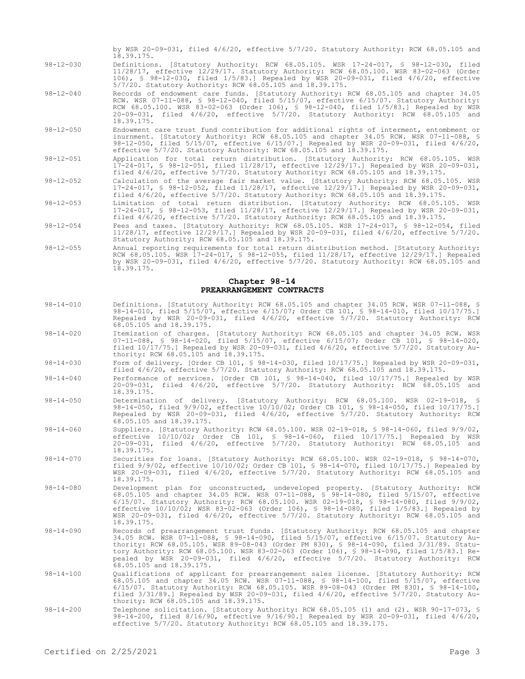by WSR 20-09-031, filed 4/6/20, effective 5/7/20. Statutory Authority: RCW 68.05.105 and 18.39.175.

- 98-12-030 Definitions. [Statutory Authority: RCW 68.05.105. WSR 17-24-017, § 98-12-030, filed 11/28/17, effective 12/29/17. Statutory Authority: RCW 68.05.100. WSR 83-02-063 (Order 106), § 98-12-030, filed 1/5/83.] Repealed by WSR 20-09-031, filed 4/6/20, effective 5/7/20. Statutory Authority: RCW 68.05.105 and 18.39.175.
- 98-12-040 Records of endowment care funds. [Statutory Authority: RCW 68.05.105 and chapter 34.05 RCW. WSR 07-11-088, § 98-12-040, filed 5/15/07, effective 6/15/07. Statutory Authority: RCW 68.05.100. WSR 83-02-063 (Order 106), § 98-12-040, filed 1/5/83.] Repealed by WSR 20-09-031, filed 4/6/20, effective 5/7/20. Statutory Authority: RCW 68.05.105 and 18.39.175.
- 98-12-050 Endowment care trust fund contribution for additional rights of interment, entombment or inurnment. [Statutory Authority: RCW 68.05.105 and chapter 34.05 RCW. WSR 07-11-088, § 98-12-050, filed 5/15/07, effective 6/15/07.] Repealed by WSR 20-09-031, filed 4/6/20, effective 5/7/20. Statutory Authority: RCW 68.05.105 and 18.39.175.
- 98-12-051 Application for total return distribution. [Statutory Authority: RCW 68.05.105. WSR 17-24-017, § 98-12-051, filed 11/28/17, effective 12/29/17.] Repealed by WSR 20-09-031, filed 4/6/20, effective 5/7/20. Statutory Authority: RCW 68.05.105 and 18.39.175.
- 98-12-052 Calculation of the average fair market value. [Statutory Authority: RCW 68.05.105. WSR 17-24-017, § 98-12-052, filed 11/28/17, effective 12/29/17.] Repealed by WSR 20-09-031, filed 4/6/20, effective 5/7/20. Statutory Authority: RCW 68.05.105 and 18.39.175.
- 98-12-053 Limitation of total return distribution. [Statutory Authority: RCW 68.05.105. WSR 17-24-017, § 98-12-053, filed 11/28/17, effective 12/29/17.] Repealed by WSR 20-09-031, filed 4/6/20, effective 5/7/20. Statutory Authority: RCW 68.05.105 and 18.39.175.
- 98-12-054 Fees and taxes. [Statutory Authority: RCW 68.05.105. WSR 17-24-017, § 98-12-054, filed 11/28/17, effective 12/29/17.] Repealed by WSR 20-09-031, filed 4/6/20, effective 5/7/20. Statutory Authority: RCW 68.05.105 and 18.39.175.
- 98-12-055 Annual reporting requirements for total return distribution method. [Statutory Authority: RCW 68.05.105. WSR 17-24-017, § 98-12-055, filed 11/28/17, effective 12/29/17.] Repealed by WSR 20-09-031, filed 4/6/20, effective 5/7/20. Statutory Authority: RCW 68.05.105 and 18.39.175.

#### **Chapter 98-14 PREARRANGEMENT CONTRACTS**

- 98-14-010 Definitions. [Statutory Authority: RCW 68.05.105 and chapter 34.05 RCW. WSR 07-11-088, § 98-14-010, filed 5/15/07, effective 6/15/07; Order CB 101, § 98-14-010, filed 10/17/75.] Repealed by WSR 20-09-031, filed 4/6/20, effective 5/7/20. Statutory Authority: RCW 68.05.105 and 18.39.175.
- 98-14-020 Itemization of charges. [Statutory Authority: RCW 68.05.105 and chapter 34.05 RCW. WSR 07-11-088, § 98-14-020, filed 5/15/07, effective 6/15/07; Order CB 101, § 98-14-020, filed 10/17/75.] Repealed by WSR 20-09-031, filed 4/6/20, effective 5/7/20. Statutory Authority: RCW 68.05.105 and 18.39.175.
- 98-14-030 Form of delivery. [Order CB 101, § 98-14-030, filed 10/17/75.] Repealed by WSR 20-09-031, filed 4/6/20, effective 5/7/20. Statutory Authority: RCW 68.05.105 and 18.39.175.
- 98-14-040 Performance of services. [Order CB 101, § 98-14-040, filed 10/17/75.] Repealed by WSR 20-09-031, filed 4/6/20, effective 5/7/20. Statutory Authority: RCW 68.05.105 and 18.39.175.
- 98-14-050 Determination of delivery. [Statutory Authority: RCW 68.05.100. WSR 02-19-018, § 98-14-050, filed 9/9/02, effective 10/10/02; Order CB 101, § 98-14-050, filed 10/17/75.] Repealed by WSR 20-09-031, filed 4/6/20, effective 5/7/20. Statutory Authority: RCW 68.05.105 and 18.39.175.
- 98-14-060 Suppliers. [Statutory Authority: RCW 68.05.100. WSR 02-19-018, § 98-14-060, filed 9/9/02, effective 10/10/02; Order CB 101, § 98-14-060, filed 10/17/75.] Repealed by WSR 20-09-031, filed 4/6/20, effective 5/7/20. Statutory Authority: RCW 68.05.105 and 18.39.175.
- 98-14-070 Securities for loans. [Statutory Authority: RCW 68.05.100. WSR 02-19-018, § 98-14-070, filed 9/9/02, effective 10/10/02; Order CB 101, § 98-14-070, filed 10/17/75.] Repealed by WSR 20-09-031, filed 4/6/20, effective 5/7/20. Statutory Authority: RCW 68.05.105 and 18.39.175.
- 98-14-080 Development plan for unconstructed, undeveloped property. [Statutory Authority: RCW 68.05.105 and chapter 34.05 RCW. WSR 07-11-088, § 98-14-080, filed 5/15/07, effective 6/15/07. Statutory Authority: RCW 68.05.100. WSR 02-19-018, § 98-14-080, filed 9/9/02, effective 10/10/02; WSR 83-02-063 (Order 106), § 98-14-080, filed 1/5/83.] Repealed by WSR 20-09-031, filed 4/6/20, effective 5/7/20. Statutory Authority: RCW 68.05.105 and 18.39.175.
- 98-14-090 Records of prearrangement trust funds. [Statutory Authority: RCW 68.05.105 and chapter 34.05 RCW. WSR 07-11-088, § 98-14-090, filed 5/15/07, effective 6/15/07. Statutory Authority: RCW 68.05.105. WSR 89-08-043 (Order PM 830), § 98-14-090, filed 3/31/89. Statutory Authority: RCW 68.05.100. WSR 83-02-063 (Order 106), § 98-14-090, filed 1/5/83.] Repealed by WSR 20-09-031, filed 4/6/20, effective 5/7/20. Statutory Authority: RCW 68.05.105 and 18.39.175.
- 98-14-100 Qualifications of applicant for prearrangement sales license. [Statutory Authority: RCW 68.05.105 and chapter 34.05 RCW. WSR 07-11-088, § 98-14-100, filed 5/15/07, effective 6/15/07. Statutory Authority: RCW 68.05.105. WSR 89-08-043 (Order PM 830), § 98-14-100, filed 3/31/89.] Repealed by WSR 20-09-031, filed 4/6/20, effective 5/7/20. Statutory Authority: RCW 68.05.105 and 18.39.175.
- 98-14-200 Telephone solicitation. [Statutory Authority: RCW 68.05.105 (1) and (2). WSR 90-17-073, § 98-14-200, filed 8/16/90, effective 9/16/90.] Repealed by WSR 20-09-031, filed 4/6/20, effective 5/7/20. Statutory Authority: RCW 68.05.105 and 18.39.175.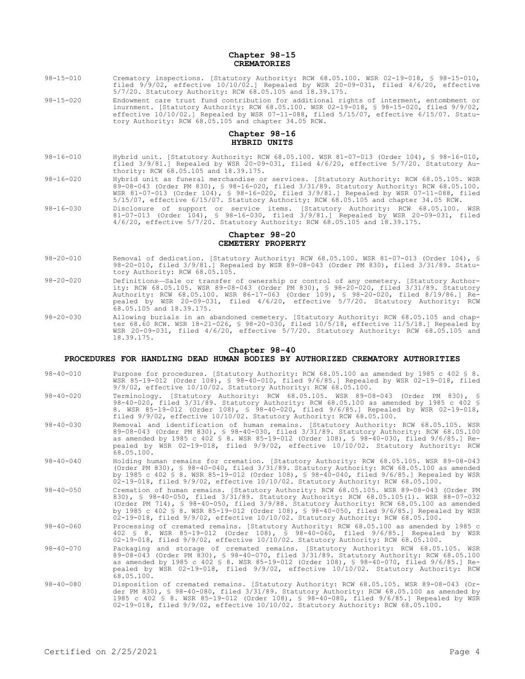## **Chapter 98-15 CREMATORIES**

- 98-15-010 Crematory inspections. [Statutory Authority: RCW 68.05.100. WSR 02-19-018, § 98-15-010, filed 9/9/02, effective 10/10/02.] Repealed by WSR 20-09-031, filed 4/6/20, effective 5/7/20. Statutory Authority: RCW 68.05.105 and 18.39.175.
- 98-15-020 Endowment care trust fund contribution for additional rights of interment, entombment or inurnment. [Statutory Authority: RCW 68.05.100. WSR 02-19-018, § 98-15-020, filed 9/9/02, effective 10/10/02.] Repealed by WSR 07-11-088, filed 5/15/07, effective 6/15/07. Statutory Authority: RCW 68.05.105 and chapter 34.05 RCW.

## **Chapter 98-16 HYBRID UNITS**

- 98-16-010 Hybrid unit. [Statutory Authority: RCW 68.05.100. WSR 81-07-013 (Order 104), § 98-16-010, filed 3/9/81.] Repealed by WSR 20-09-031, filed 4/6/20, effective 5/7/20. Statutory Authority: RCW 68.05.105 and 18.39.175.
- 98-16-020 Hybrid unit as funeral merchandise or services. [Statutory Authority: RCW 68.05.105. WSR 89-08-043 (Order PM 830), § 98-16-020, filed 3/31/89. Statutory Authority: RCW 68.05.100. WSR 81-07-013 (Order 104), § 98-16-020, filed 3/9/81.] Repealed by WSR 07-11-088, filed 5/15/07, effective 6/15/07. Statutory Authority: RCW 68.05.105 and chapter 34.05 RCW.
- 98-16-030 Disclosure of support or service items. [Statutory Authority: RCW 68.05.100. WSR 81-07-013 (Order 104), § 98-16-030, filed 3/9/81.] Repealed by WSR 20-09-031, filed 4/6/20, effective 5/7/20. Statutory Authority: RCW 68.05.105 and 18.39.175.

## **Chapter 98-20 CEMETERY PROPERTY**

- 98-20-010 Removal of dedication. [Statutory Authority: RCW 68.05.100. WSR 81-07-013 (Order 104), § 98-20-010, filed 3/9/81.] Repealed by WSR 89-08-043 (Order PM 830), filed 3/31/89. Statutory Authority: RCW 68.05.105.
- 98-20-020 Definitions—Sale or transfer of ownership or control of any cemetery. [Statutory Authority: RCW 68.05.105. WSR 89-08-043 (Order PM 830), § 98-20-020, filed 3/31/89. Statutory Authority: RCW 68.05.100. WSR 86-17-063 (Order 109), § 98-20-020, filed 8/19/86.] Repealed by WSR 20-09-031, filed 4/6/20, effective 5/7/20. Statutory Authority: RCW  $68.05.105$  and  $18.39.175$ .
- 98-20-030 Allowing burials in an abandoned cemetery. [Statutory Authority: RCW 68.05.105 and chapter 68.60 RCW. WSR 18-21-026, § 98-20-030, filed 10/5/18, effective 11/5/18.] Repealed by WSR 20-09-031, filed 4/6/20, effective 5/7/20. Statutory Authority: RCW 68.05.105 and 18.39.175.

#### **Chapter 98-40**

## **PROCEDURES FOR HANDLING DEAD HUMAN BODIES BY AUTHORIZED CREMATORY AUTHORITIES**

- 98-40-010 Purpose for procedures. [Statutory Authority: RCW 68.05.100 as amended by 1985 c 402 § 8. WSR 85-19-012 (Order 108), § 98-40-010, filed 9/6/85.] Repealed by WSR 02-19-018, filed 9/9/02, effective 10/10/02. Statutory Authority: RCW 68.05.100.
- 98-40-020 Terminology. [Statutory Authority: RCW 68.05.105. WSR 89-08-043 (Order PM 830), 98-40-020, filed 3/31/89. Statutory Authority: RCW 68.05.100 as amended by 1985 c 402 § 8. WSR 85-19-012 (Order 108), § 98-40-020, filed 9/6/85.] Repealed by WSR 02-19-018, filed 9/9/02, effective 10/10/02. Statutory Authority: RCW 68.05.100.
- 98-40-030 Removal and identification of human remains. [Statutory Authority: RCW 68.05.105. WSR 89-08-043 (Order PM 830), § 98-40-030, filed 3/31/89. Statutory Authority: RCW 68.05.100 as amended by 1985 c 402 § 8. WSR 85-19-012 (Order 108), § 98-40-030, filed 9/6/85.] Repealed by WSR 02-19-018, filed 9/9/02, effective 10/10/02. Statutory Authority: RCW  $68.05.100$ .
- 98-40-040 Holding human remains for cremation. [Statutory Authority: RCW 68.05.105. WSR 89-08-043 (Order PM 830), § 98-40-040, filed 3/31/89. Statutory Authority: RCW 68.05.100 as amended by 1985 c 402 § 8. WSR 85-19-012 (Order 108), § 98-40-040, filed 9/6/85.] Repealed by WSR 02-19-018, filed 9/9/02, effective 10/10/02. Statutory Authority: RCW 68.05.100.
- 98-40-050 Cremation of human remains. [Statutory Authority: RCW 68.05.105. WSR 89-08-043 (Order PM 830), § 98-40-050, filed 3/31/89. Statutory Authority: RCW 68.05.105(1). WSR 88-07-032 (Order PM 714), § 98-40-050, filed 3/9/88. Statutory Authority: RCW 68.05.100 as amended by 1985 c 402 § 8. WSR 85-19-012 (Order 108), § 98-40-050, filed 9/6/85.] Repealed by WSR 02-19-018, filed 9/9/02, effective 10/10/02. Statutory Authority: RCW 68.05.100.
- 98-40-060 Processing of cremated remains. [Statutory Authority: RCW 68.05.100 as amended by 1985 c 402 § 8. WSR 85-19-012 (Order 108), § 98-40-060, filed 9/6/85.] Repealed by WSR 02-19-018, filed 9/9/02, effective 10/10/02. Statutory Authority: RCW 68.05.100.
- 98-40-070 Packaging and storage of cremated remains. [Statutory Authority: RCW 68.05.105. WSR 89-08-043 (Order PM 830), § 98-40-070, filed 3/31/89. Statutory Authority: RCW 68.05.100 as amended by 1985 c 402 § 8. WSR 85-19-012 (Order 108), § 98-40-070, filed 9/6/85.] Re-pealed by WSR 02-19-018, filed 9/9/02, effective 10/10/02. Statutory Authority: RCW 68.05.100.
- 98-40-080 Disposition of cremated remains. [Statutory Authority: RCW 68.05.105. WSR 89-08-043 (Or-der PM 830), § 98-40-080, filed 3/31/89. Statutory Authority: RCW 68.05.100 as amended by 1985 c 402 § 8. WSR 85-19-012 (Order 108), § 98-40-080, filed 9/6/85.] Repealed by WSR 02-19-018, filed 9/9/02, effective 10/10/02. Statutory Authority: RCW 68.05.100.